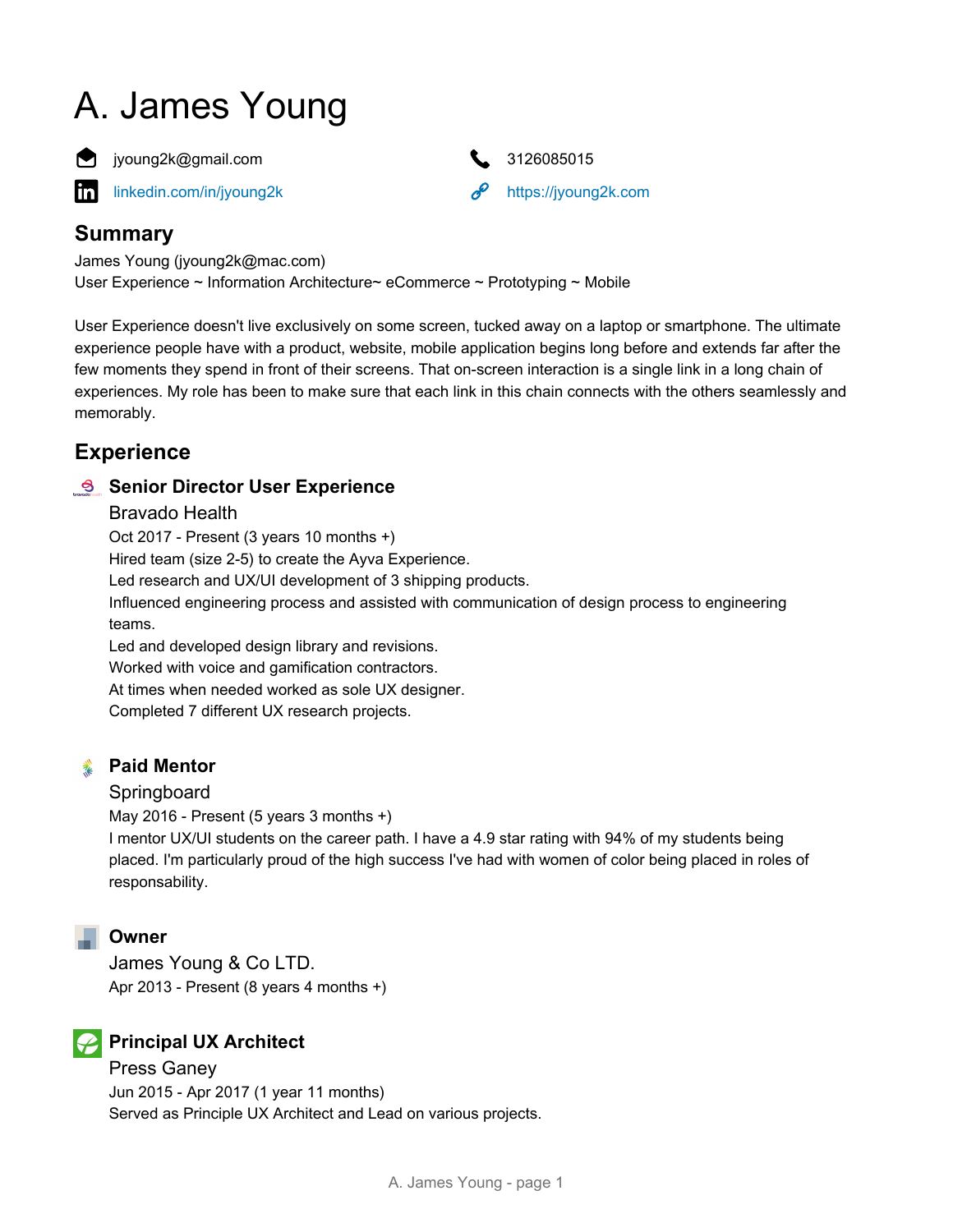# A. James Young



**i** ivoung2k@gmail.com **3126085015** 

[linkedin.com/in/jyoung2k](https://www.linkedin.com/in/jyoung2k) <https://jyoung2k.com> in



# **Summary**

James Young (jyoung2k@mac.com) User Experience ~ Information Architecture~ eCommerce ~ Prototyping ~ Mobile

User Experience doesn't live exclusively on some screen, tucked away on a laptop or smartphone. The ultimate experience people have with a product, website, mobile application begins long before and extends far after the few moments they spend in front of their screens. That on-screen interaction is a single link in a long chain of experiences. My role has been to make sure that each link in this chain connects with the others seamlessly and memorably.

# **Experience**

#### **Senior Director User Experience**

#### Bravado Health

Oct 2017 - Present (3 years 10 months +)

Hired team (size 2-5) to create the Ayva Experience.

Led research and UX/UI development of 3 shipping products.

Influenced engineering process and assisted with communication of design process to engineering teams.

Led and developed design library and revisions. Worked with voice and gamification contractors.

At times when needed worked as sole UX designer.

Completed 7 different UX research projects.

#### **Paid Mentor** 头

#### Springboard

May 2016 - Present (5 years 3 months +)

I mentor UX/UI students on the career path. I have a 4.9 star rating with 94% of my students being placed. I'm particularly proud of the high success I've had with women of color being placed in roles of responsability.

#### **Owner**

James Young & Co LTD. Apr 2013 - Present (8 years 4 months +)

# **Principal UX Architect**

Press Ganey Jun 2015 - Apr 2017 (1 year 11 months) Served as Principle UX Architect and Lead on various projects.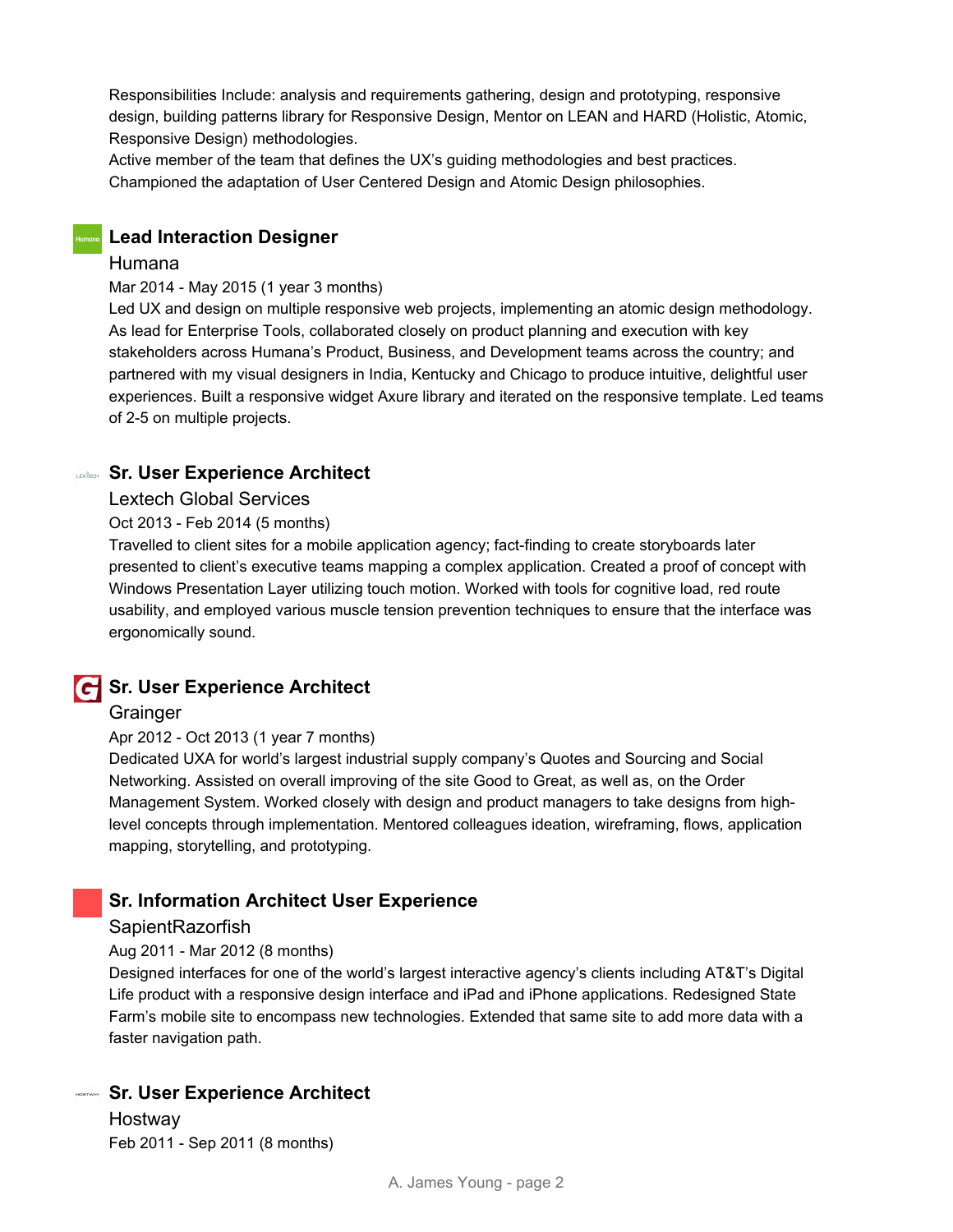Responsibilities Include: analysis and requirements gathering, design and prototyping, responsive design, building patterns library for Responsive Design, Mentor on LEAN and HARD (Holistic, Atomic, Responsive Design) methodologies.

Active member of the team that defines the UX's guiding methodologies and best practices. Championed the adaptation of User Centered Design and Atomic Design philosophies.

#### **Lead Interaction Designer**

Humana

#### Mar 2014 - May 2015 (1 year 3 months)

Led UX and design on multiple responsive web projects, implementing an atomic design methodology. As lead for Enterprise Tools, collaborated closely on product planning and execution with key stakeholders across Humana's Product, Business, and Development teams across the country; and partnered with my visual designers in India, Kentucky and Chicago to produce intuitive, delightful user experiences. Built a responsive widget Axure library and iterated on the responsive template. Led teams of 2-5 on multiple projects.

#### **Sr. User Experience Architect**

#### Lextech Global Services

#### Oct 2013 - Feb 2014 (5 months)

Travelled to client sites for a mobile application agency; fact-finding to create storyboards later presented to client's executive teams mapping a complex application. Created a proof of concept with Windows Presentation Layer utilizing touch motion. Worked with tools for cognitive load, red route usability, and employed various muscle tension prevention techniques to ensure that the interface was ergonomically sound.

#### **Sr. User Experience Architect**

#### **Grainger**

#### Apr 2012 - Oct 2013 (1 year 7 months)

Dedicated UXA for world's largest industrial supply company's Quotes and Sourcing and Social Networking. Assisted on overall improving of the site Good to Great, as well as, on the Order Management System. Worked closely with design and product managers to take designs from highlevel concepts through implementation. Mentored colleagues ideation, wireframing, flows, application mapping, storytelling, and prototyping.

#### **Sr. Information Architect User Experience**

#### **SapientRazorfish**

#### Aug 2011 - Mar 2012 (8 months)

Designed interfaces for one of the world's largest interactive agency's clients including AT&T's Digital Life product with a responsive design interface and iPad and iPhone applications. Redesigned State Farm's mobile site to encompass new technologies. Extended that same site to add more data with a faster navigation path.

#### **Sr. User Experience Architect**

**Hostway** Feb 2011 - Sep 2011 (8 months)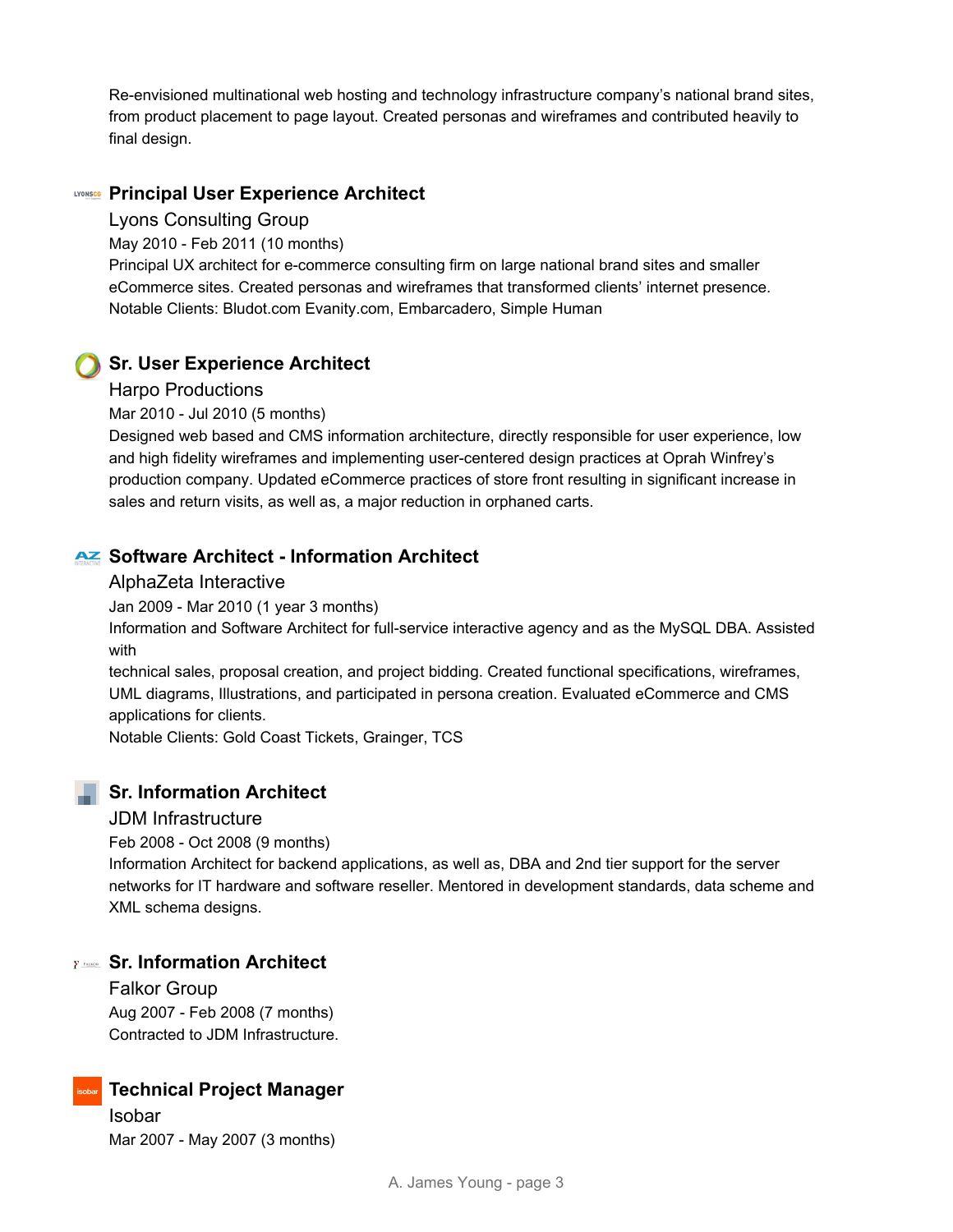Re-envisioned multinational web hosting and technology infrastructure company's national brand sites, from product placement to page layout. Created personas and wireframes and contributed heavily to final design.

#### **Principal User Experience Architect**

#### Lyons Consulting Group

May 2010 - Feb 2011 (10 months)

Principal UX architect for e-commerce consulting firm on large national brand sites and smaller eCommerce sites. Created personas and wireframes that transformed clients' internet presence. Notable Clients: Bludot.com Evanity.com, Embarcadero, Simple Human

#### **Sr. User Experience Architect**

#### Harpo Productions

Mar 2010 - Jul 2010 (5 months)

Designed web based and CMS information architecture, directly responsible for user experience, low and high fidelity wireframes and implementing user-centered design practices at Oprah Winfrey's production company. Updated eCommerce practices of store front resulting in significant increase in sales and return visits, as well as, a major reduction in orphaned carts.

#### **AZ Software Architect - Information Architect**

#### AlphaZeta Interactive

Jan 2009 - Mar 2010 (1 year 3 months)

Information and Software Architect for full-service interactive agency and as the MySQL DBA. Assisted with

technical sales, proposal creation, and project bidding. Created functional specifications, wireframes, UML diagrams, Illustrations, and participated in persona creation. Evaluated eCommerce and CMS applications for clients.

Notable Clients: Gold Coast Tickets, Grainger, TCS

#### **Sr. Information Architect**

#### JDM Infrastructure

Feb 2008 - Oct 2008 (9 months)

Information Architect for backend applications, as well as, DBA and 2nd tier support for the server networks for IT hardware and software reseller. Mentored in development standards, data scheme and XML schema designs.

#### **Sr. Information Architect**

Falkor Group Aug 2007 - Feb 2008 (7 months) Contracted to JDM Infrastructure.

### **Technical Project Manager**

Isobar Mar 2007 - May 2007 (3 months)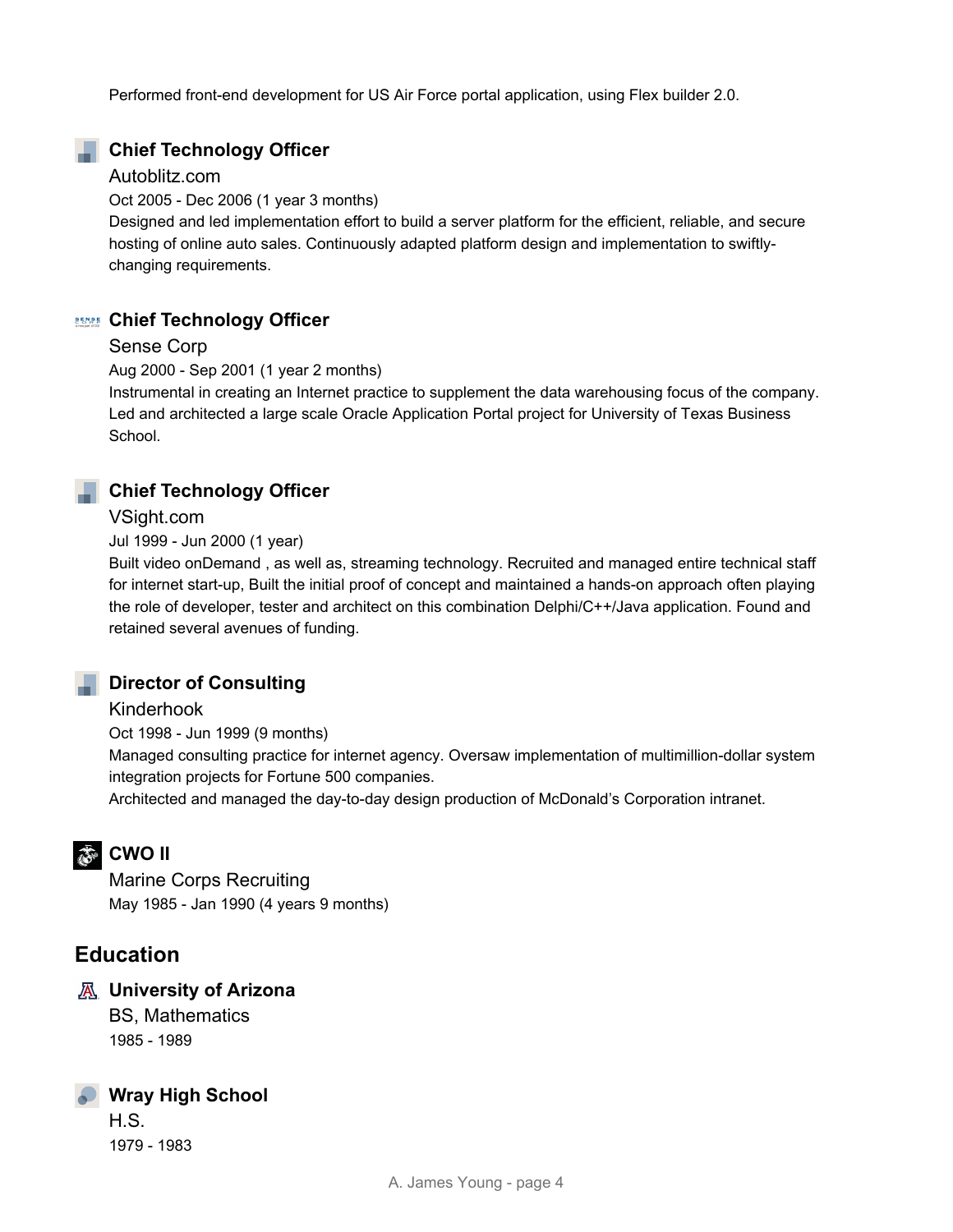Performed front-end development for US Air Force portal application, using Flex builder 2.0.

#### **Chief Technology Officer**

#### Autoblitz.com

Oct 2005 - Dec 2006 (1 year 3 months)

Designed and led implementation effort to build a server platform for the efficient, reliable, and secure hosting of online auto sales. Continuously adapted platform design and implementation to swiftlychanging requirements.

#### **Chief Technology Officer**

#### Sense Corp

Aug 2000 - Sep 2001 (1 year 2 months)

Instrumental in creating an Internet practice to supplement the data warehousing focus of the company. Led and architected a large scale Oracle Application Portal project for University of Texas Business School.

#### **Chief Technology Officer**

#### VSight.com

Jul 1999 - Jun 2000 (1 year)

Built video onDemand , as well as, streaming technology. Recruited and managed entire technical staff for internet start-up, Built the initial proof of concept and maintained a hands-on approach often playing the role of developer, tester and architect on this combination Delphi/C++/Java application. Found and retained several avenues of funding.



### **Parable Director of Consulting**

Kinderhook

Oct 1998 - Jun 1999 (9 months) Managed consulting practice for internet agency. Oversaw implementation of multimillion-dollar system integration projects for Fortune 500 companies.

Architected and managed the day-to-day design production of McDonald's Corporation intranet.

# **参 CWO II**

Marine Corps Recruiting May 1985 - Jan 1990 (4 years 9 months)

# **Education**

#### **University of Arizona**

BS, Mathematics 1985 - 1989

# **Wray High School**

H.S. 1979 - 1983